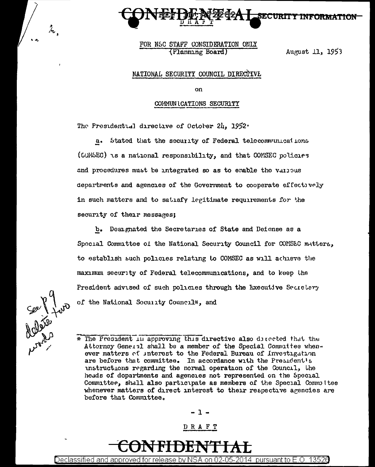

FOR NSC STAFF CONSIDERATION ONLY (Planning Board)

August 11, 1953

#### NATIONAL SECURITY COUNCIL DIRECTIVE

on

#### COMMUNICATIONS SECURITY

The Presidential directive of October 24, 1952.

a. Stated that the security of Federal telecommunications (COMSEC) is a national responsibility, and that COMSEC policies and procedures must be integrated so as to enable the valibus departments and agencies of the Government to cooperate effectively in such matters and to satisfy legitimate requirements for the security of their messages:

b. Designated the Secretaries of State and Defense as a Spocial Committee of the National Security Council for COMSEC matters, to establish such policies relating to COMSEC as will achieve the maximum security of Federal telecommunications, and to keep the President advised of such policies through the Executive Secretary of the National Security Council\*, and

Can P Your

 $\mathcal{L}_{\mathbf{z}}$ 

\* The President in approving this directive also directed that the Attorney General shall be a member of the Special Commuttee when. ever matters of interest to the Federal Bureau of Investigation are before that committee. In accordance with the President's unstructions regarding the normal operation of the Council, the heads of dopartments and agencies not represented on the Special Committee, shall also participate as members of the Special Committee whenever matters of direct interest to their respective agencies are before that Committee.

 $-1-$ 

#### DRAFT

Declassified and approved for release by NSA on 02-05-2014 pursuant to E.O. 13526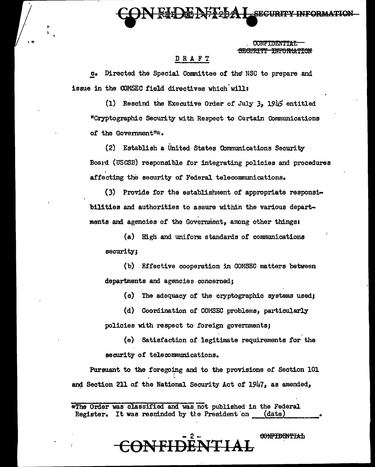**SECURITY INFORMATIO** 

CONFIDENTIAL SECURITY INFORMATION

#### DRAFT

.2• Directed the Special Committee of the" NSC to prepare and issue in the OOMSEC field directives which'will:

(1) Rescind the Executive Order of July *31* 1945 entitled "Cryptographic Security with Respect to Certain Communications of the Government"\*.

(2) Establish a United States Communications Security Board (USCSB) responsible for integrating policies and procedures affecting the security of Federal telecommunications.

(3) Provide for the establishment of appropriate responsibilities and authorities to assure within the various departments and agencies of the Government, among other things:

 $(a)$  High and uniform standards of communications security;

(b) Effective cooperation in COMSEC matters between departments and agencies concerned;

(c) The adequacy of the cryptographic systems used;

(d) Coordination of COMSEC problems, particularly policies with respect to foreign governments;

(e) Satisfaction of legitimate requirements for the security of telecomnunications.

Pursuant to the foregoing and to the provisions of Section 101 and Section 211 of the National Security Act of 1947, as amended,

\*The Order was classified and was not published in the Federal<br>Register. It was rescinded by the President on (date) Register. It was rescinded by tle President on

# **CONFIDENTIAL**

00NF<del>IDENTIAL</del>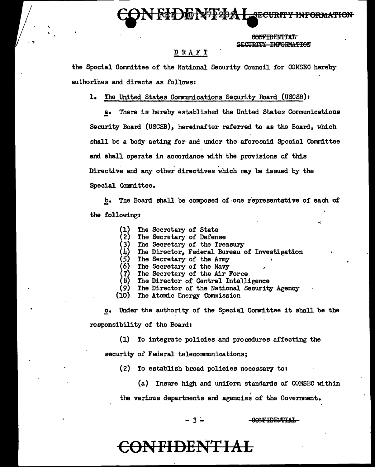**EXECURITY INFORMATION:** 

CONFIDENTIAL SECURTTY INFORMATION

#### DRAFT

the Spacial Committee of the National Security Council for COMSEC hereby authorizes and directs as follows:

1. The United States Communications Security Board (USCSB)t

a. There is hereby established the United States Communications Security Board (USCSB), hereinafter referred to as the Board, which shall be a body acting for and under the aforesaid Special Committee and shall operate in accordance with the provisions of this Directive and any other directives which may be issued by the Special Committee •

b. The Board shall be composed of one representative of each of the followings

- (1) The Secretary of State
- (2) The Secretary of Defense<br>(3) The Secretary of the Tree
- (3) The Secretary of the Treasury<br>(4) The Director, Federal Bureau o<br>(5) The Secretary of the Army (4) The Director, Federal Bureau of Investigation (5) The Secretary of the Army
- 
- 
- (6) The Secretary of the Navy  $(7)$  The Secretary of the Air B
- (7) The Secretary of the Air Force  $(8)$  The Director of Central Intell: (8) The Director of Central Intelligence
- The Director of the National Security Agency
- (10) The Atomic Energy Commission

c. Under the authority of the Special Comntl.ttee it shall be the responsibility of the Board:

(1) To integrate policies and procedures affecting the

security of Federal telecommunications;

- $(2)$  To establish broad policies necessary to:
	- (a) Insure high and unifom standards of OOMSEC within

the various departments and agencies of the Government.

- *3* <sup>~</sup>

-CONFIDENTIAL

# <del>echden</del>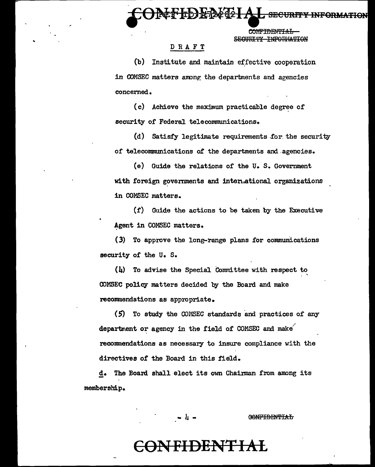**IECURITY INFORMATION** 

COMPTORNIPTAT. SECHETTY INFORMATION

#### DRAFT

(b) Institute and maintain effective cooperation in COMSEC matters among the departments and agencies concerned.

(c) Achieve the maximum practicable degree of security of Federal telecommunications.

(d) Satisfy legitimate requirements for the security of telecommunications of the departments and agencies.

(e) Guide the relations of the U.S. Government with foreign governments and international organizations in COMSEC matters.

(f) Guide the actions to be taken by the Executive Agent in COMSEC matters.

(3) To approve the long-range plans for communications security of the U.S.

 $(h)$  To advise the Special Committee with respect to COMSEC policy matters decided by the Board and make recommendations as appropriate.

(5) To study the COMSEC standards and practices of any department or agency in the field of COMSEC and make recommendations as necessary to insure compliance with the directives of the Board in this field.

The Board shall elect its own Chairman from among its d. membership.

- 4 -

**GONFIDENTIAL** 

### <del>ƏNFIDENTIAL</del>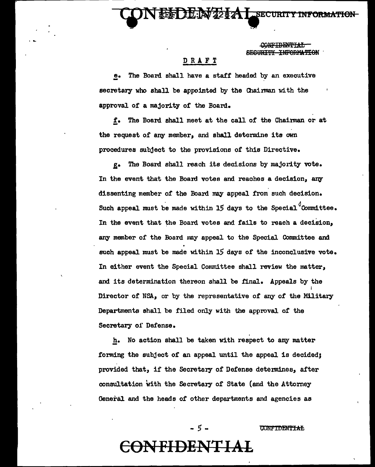**SECURTAY** 

**SECURITY INFORMATION** 

#### DRAFT

The Board shall have a staff headed by an executive  $\bullet$ secretary who shall be appointed by the Chairman with the approval of a majority of the Board.

f. The Board shall meet at the call of the Chairman or at the request of any member, and shall determine its own procedures subject to the provisions of this Directive.

The Board shall reach its decisions by majority vote. g. In the event that the Board votes and reaches a decision, any dissenting member of the Board may appeal from such decision. Such appeal must be made within 15 days to the Special Committee. In the event that the Board votes and fails to reach a decision, any member of the Board may appeal to the Special Committee and such appeal must be made within 15 days of the inconclusive vote. In either event the Special Committee shall review the matter, and its determination thereon shall be final. Appeals by the Director of NSA, or by the representative of any of the Military Departments shall be filed only with the approval of the Secretary of Defense.

h. No action shall be taken with respect to any matter forming the subject of an appeal until the appeal is decided; provided that, if the Secretary of Defense determines, after consultation with the Secretary of State (and the Attorney General and the heads of other departments and agencies as

**CONFIDENTIAL** 

# **FIDENT**

- 5 -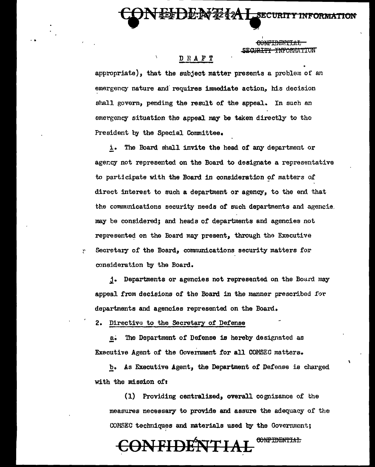<del>¥anan wa ama n</del>

**ESECURITY INFORMATION** 

#### DRAFT

appropriate), that the subject matter presents a problem of an emergency nature and requires immediate action, his decision shall govern, pending the result of the appeal. In such an emergency situation the appeal may be taken directly to the President by the Special Committee.

**DO 298-94** 

i. The Board shall invite the head of any department or agency not represented on the Board to designate a representative to participate with the Board in consideration of matters of direct interest to such a department or agency, to the end that the communications security needs of such departments and agencie. may be considered: and heads of departments and agencies not represented on the Board may present, through the Executive Secretary of the Board, communications security matters for consideration by the Board.

j. Departments or agencies not represented on the Board may appeal from decisions of the Board in the manner prescribed for departments and agencies represented on the Board.

2. Directive to the Secretary of Defense

y.

The Department of Defense is hereby designated as  $a.$ Executive Agent of the Government for all COMSEC matters.

As Executive Agent, the Department of Defense is charged b. with the mission of:

(1) Providing centralized, overall cognizance of the measures necessary to provide and assure the adequacy of the COMSEC techniques and materials used by the Government;

#### CONFIDENTIAL **ENFIDENTIAL**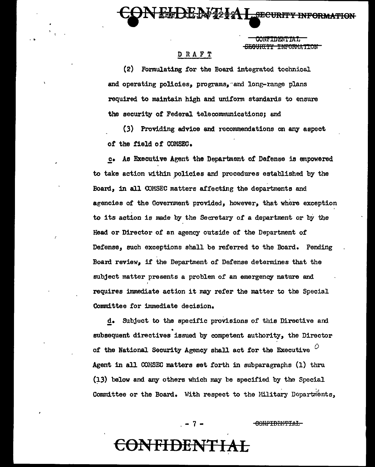**SECURITY INFORMA** 

<del>SEOURTTY TNFORMATTON</del>

### DRAFT

(2) Formulating for the Board integrated tochnical and operating policies, programs, and long-range plans required to maintain high and uniform standards to ensure the security of Federal telecommunications; and

(3) Providing advice and recommendations on any aspect of the field of COMSEC.

c. As Executive Agent the Department of Defense is empowered to take action within policies and procedures established by the Board, in all COMSEC matters affecting the departments and agencies of the Government provided, however, that where exception to its action is made by the Secretary of a department or by the Head or Director of an agency outside of the Department of Defense, such exceptions shall be referred to the Board. Pending Board review, if the Department of Defense determines that the subject matter presents a problem of an emergency nature and requires immediate action it may refer the matter to the Special Committee for immediate decision.

d. Subject to the specific provisions of this Directive and subsequent directives issued by competent authority, the Director of the National Security Agency shall act for the Executive  $\sigma$ Agent in all COMSEC matters set forth in subparagraphs (1) thru (13) below and any others which may be specified by the Special Committee or the Board. With respect to the Military Dopartments,

 $-7-$ 

**VFIDENTIAL** 

<del>-CONFIDENTIAL</del>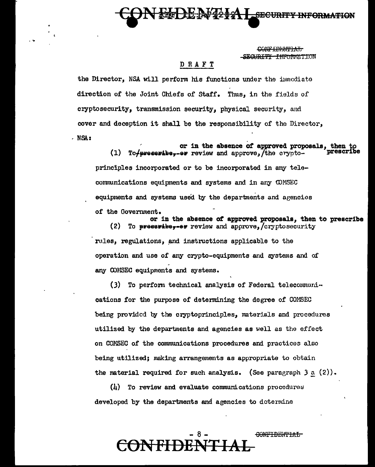

CONFIDENTIAT. SEGUR<del>TTY FNICINATION</del>

#### DRAFT

the Director. NSA will perform his functions under the immediate direction of the Joint Chiefs of Staff. Thus, in the fields of cryptosecurity, transmission security, physical security, and cover and deception it shall be the responsibility of the Director,  $.$  NSA:

or in the absence of approved proposals, then t  $(1)$ To +preseribe--er review and approve. The cryptoprinciples incorporated or to be incorporated in any telecommunications equipments and systems and in any COMSEC equipments and systems used by the departments and agencies of the Government.

or in the absence of approved proposals, then to prescribe  $(2)$ To  $p$ **yees**  $p \neq p$  review and approve.  $/c$ ryptosecurity rules, regulations, and instructions applicable to the operation and use of any crypto-equipments and systems and of any COMSEC equipments and systems.

To perform technical analysis of Federal telecommuni- $(3)$ cations for the purpose of determining the degree of COMSEC being provided by the cryptoprinciples, materials and procedures utilized by the departments and agencies as well as the effect on COMSEC of the communications procedures and practices also being utilized; making arrangements as appropriate to obtain the material required for such analysis. (See paragraph  $3a(2)$ ).

 $(l)$  To review and evaluate communications procedures developed by the departments and agencies to determine

### CONFIDENTIAL **VFHDEP**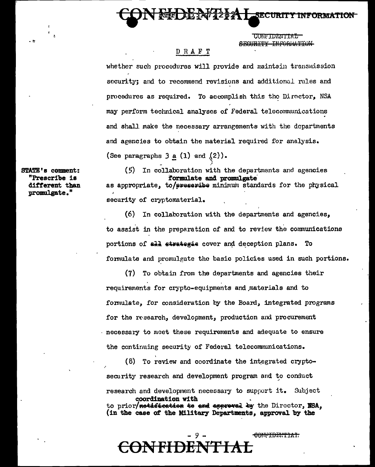**CONFIDENTIAL** SECURITY INFORMATION

**SECURIT** 

#### DRAFT

whether such procedures will provide and maintain transmission security; and to recommend revisions and additional rules and procedures as required. To accomplish this the Director, NSA may perform technical analyses of Federal telecommunications and shall make the necessary arrangements with the departments and agencies to obtain the material required for analysis. (See paragraphs  $3a(1)$  and  $(2)$ ).

 $(5)$ In collaboration with the departments and agencies formulate and promulgate as appropriate, to/evesevibe minimum standards for the physical

security of cryptomaterial.

(6) In collaboration with the departments and agencies, to assist in the preparation of and to review the communications portions of all strategis cover and deception plans. To formulate and promulgate the basic policies used in such portions.

(7) To obtain from the departments and agencies their requirements for crypto-equipments and materials and to formulate, for consideration by the Board, integrated programs for the research, development, production and procurement necessary to meet these requirements and adequate to ensure the continuing security of Federal telecommunications.

 $(8)$  To review and coordinate the integrated cryptosecurity research and development program and to conduct research and development necessary to support it. Subject coordination with

to prior/netafication te and appreved by the Director, NSA, (in the case of the Military Departments, approval by the

<del>FH ) E</del>f

<del>CONFIDENTIAL</del>

STATE's comment: "Prescribe is different than promulgate."

 $\mathbf{r}$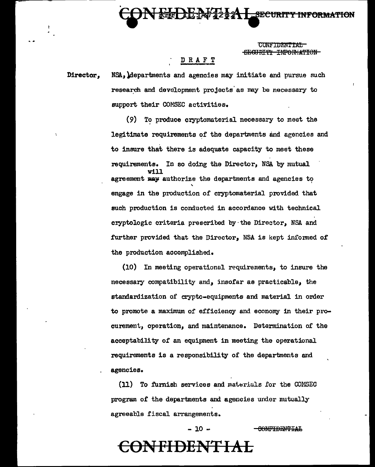**CONE TO ENTERT** SEGURITY INFORMATION

**HE-AFT2 & A LEECURITY INFORMATION** 

#### D R A F T

Director. NSA, departments and agencies may initiate and pursue such research and development projects as may be necessary to support their COMSEC activities.

> To produce cryptomaterial necessary to meet the  $(9)$ legitimate requirements of the departments and agencies and to insure that there is adequate capacity to meet these requirements. In so doing the Director, NSA by mutual agreement may authorize the departments and agencies to engage in the production of cryptomaterial provided that such production is conducted in accordance with technical cryptologic criteria prescribed by the Director, NSA and further provided that the Director, NSA is kept informed of the production accomplished.

(10) In meeting operational requirements, to insure the necessary compatibility and, insofar as practicable, the standardization of crypto-equipments and material in order to promote a maximum of efficiency and economy in their procurement, operation, and maintenance. Determination of the acceptability of an equipment in meeting the operational requirements is a responsibility of the departments and agencies.

(11) To furnish services and materials for the COMSEC program of the departments and agencies under mutually agreeable fiscal arrangements.

 $-10 -$ 

-CONFIDENTIAL

### ONFIDENTIAL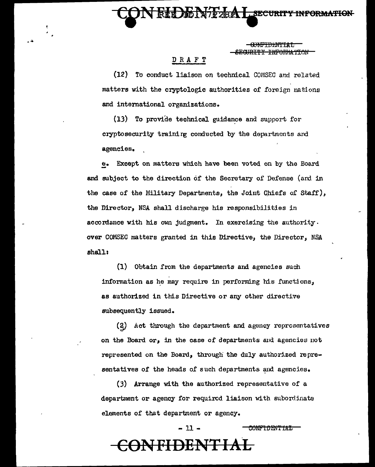**SECURITY INFORMATION** 

<del>SEGIRITY INFORMATION</del>

#### DRAFT

(12) To conduct liaison on technical COMSEC and related matters with the cryptologic authorities of foreign nations and international organizations.

(13) To provide technical guidance and support for cryptosecurity training conducted by the departments and agencies.

Except on matters which have been voted on by the Board  $\mathbf{e}$ . and subject to the direction of the Secretary of Defense (and in the case of the Military Departments, the Joint Chiefs of Staff), the Director, NSA shall discharge his responsibilities in accordance with his own judgment. In exercising the authority. over COMSEC matters granted in this Directive, the Director, NSA shall:

(1) Obtain from the departments and agencies such information as he may require in performing his functions, as authorized in this Directive or any other directive subsequently issued.

Act through the department and agency representatives  $(2)$ on the Board or, in the case of departments and agencies not represented on the Board, through the duly authorized representatives of the heads of such departments and agencies.

(3) Arrange with the authorized representative of a department or agency for required liaison with subordinate elements of that department or agency.

CONFIDENTIAL

# ONFIDENTIAL

 $-11 -$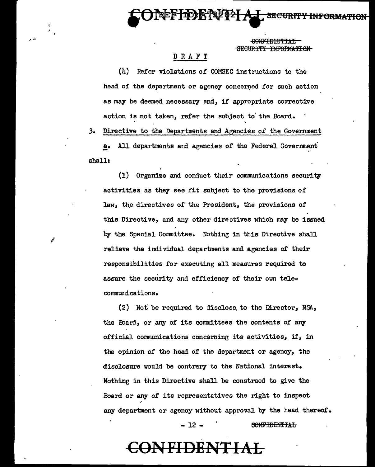<del>FIDENTIAL</del> SECURTTY INFORMATION

#### DRAFT

*..* .:.

(li) Refer violations of' COMSEC instructions to the head of the department or agency concerned for such action as may be deemed necessary and, if appropriate corrective action is not taken, refer the subject to' the Board.

3. Directive to the Departments and Agencies of the Government

All departments and agencies of the Federal Government shall:

 $(1)$  Organize and conduct their communications security activities as they see fit subject to the provisions of law, the directives of the President, the provisions of this Directive, and any other directives which may be issued by the Special Cownittee. Nothing in this Directive shall relieve the individual departments and agencies of their responsibilities for executing all measures required to assure the security and efficiency of their own telecommunications.

(2) Not be required to disclose. to the Director, NSA, the Board, or any of its committees the contents of any official communications concerning its activities, if, in the opinion of the head of the department or agency, the disclosure would be contrary to the National interest. Nothing in this Directive shall be construed to give the Board or any of its representatives the right to inspect any department or agency without approval by the head thereof.

#### $- 12$  -  $\sim$   $\sim$  CONFIDENTIAL

### **CONFIDENTIAL**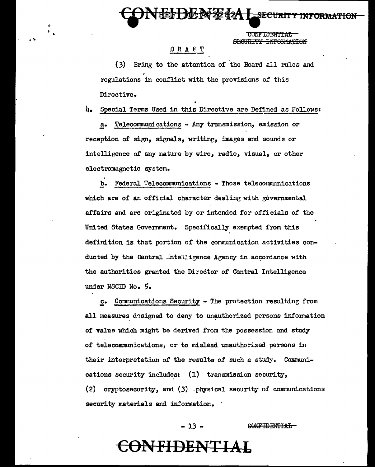CONFIDENTIAL SEGURITY INFORMATION

UNEEUL'A 22 22 1 SECURITY INFORMATION

#### DRAFT

•• 'lt

÷  $\mathbb{R}_{\geq 0}$ 

> (3) Bring to the attention of the Board all rules and regulations in conflict with the provisions of this Directive.

4. Special Tenns Used in this Directive are Defined as Follows:

!• Telecommunications - Any transmission, emission or reception of sign, signals, writing, images and sounds or intelligence of any nature by wire, radio, visual, or other electromagnetic system.

I

b. Federal Telecommunications - Those telecommunications which are of an official character dealing with governmental affairs and are originated by or intended for officials of the United States Goverrunent. Specifically exempted from this definition is that portion of the communication activities conducted by the Central Intelligence Agency in accordance with the authorities granted the Director of Central Intelligence under NSCID No. *5 •* 

c. Communications Security - The protection resulting from all measures designed to deny to unauthorized persons information of value which might be derived from the possession and study of telecommunications, or to mislead unauthorized persons in their interpretation of the results of such a study. Communications security includes:  $(1)$  transmission security,  $(2)$  cryptosecurity, and  $(3)$  .physical security of communications security materials and information.

> $-13 -$ GONFIDENTIAL

### **CONFIDENTIAL**